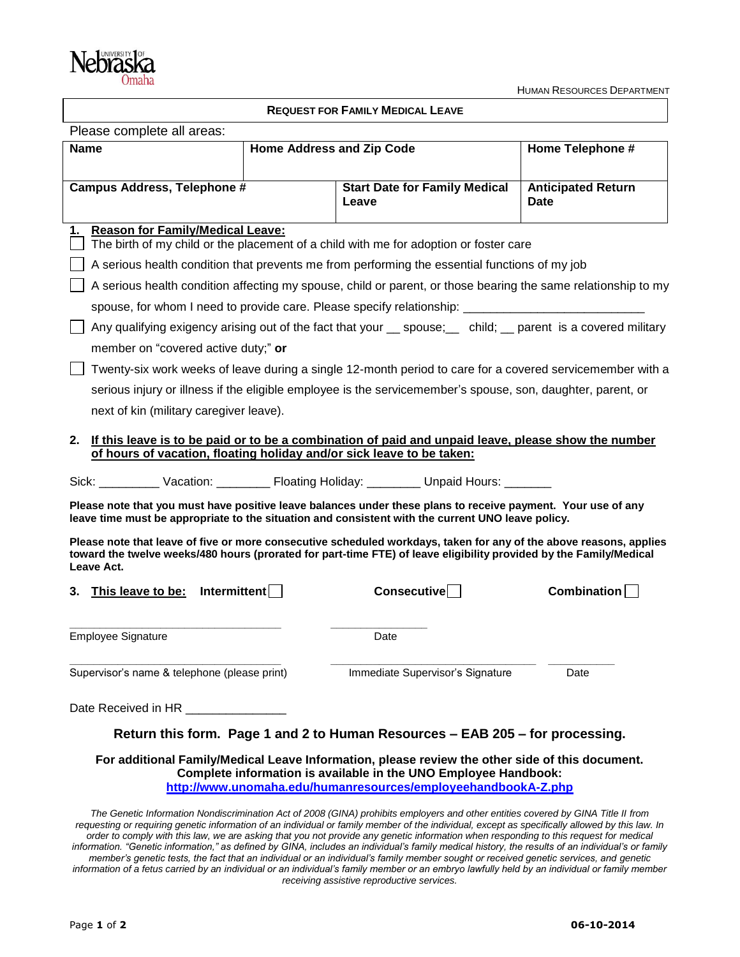

## **REQUEST FOR FAMILY MEDICAL LEAVE**

| Please complete all areas:                                                                                                                                                                                                                             |                           |                                               |                                          |
|--------------------------------------------------------------------------------------------------------------------------------------------------------------------------------------------------------------------------------------------------------|---------------------------|-----------------------------------------------|------------------------------------------|
| <b>Name</b>                                                                                                                                                                                                                                            | Home Address and Zip Code |                                               | Home Telephone #                         |
| Campus Address, Telephone #                                                                                                                                                                                                                            |                           | <b>Start Date for Family Medical</b><br>Leave | <b>Anticipated Return</b><br><b>Date</b> |
| <b>Reason for Family/Medical Leave:</b><br>1.<br>The birth of my child or the placement of a child with me for adoption or foster care                                                                                                                 |                           |                                               |                                          |
| A serious health condition that prevents me from performing the essential functions of my job                                                                                                                                                          |                           |                                               |                                          |
| A serious health condition affecting my spouse, child or parent, or those bearing the same relationship to my                                                                                                                                          |                           |                                               |                                          |
| spouse, for whom I need to provide care. Please specify relationship: _____________________________                                                                                                                                                    |                           |                                               |                                          |
| Any qualifying exigency arising out of the fact that your spouse; child; parent is a covered military                                                                                                                                                  |                           |                                               |                                          |
| member on "covered active duty;" or                                                                                                                                                                                                                    |                           |                                               |                                          |
| Twenty-six work weeks of leave during a single 12-month period to care for a covered servicemember with a                                                                                                                                              |                           |                                               |                                          |
| serious injury or illness if the eligible employee is the servicemember's spouse, son, daughter, parent, or                                                                                                                                            |                           |                                               |                                          |
| next of kin (military caregiver leave).                                                                                                                                                                                                                |                           |                                               |                                          |
| 2. If this leave is to be paid or to be a combination of paid and unpaid leave, please show the number<br>of hours of vacation, floating holiday and/or sick leave to be taken:                                                                        |                           |                                               |                                          |
| Sick: Vacation: Floating Holiday: _______ Dhpaid Hours: _______                                                                                                                                                                                        |                           |                                               |                                          |
| Please note that you must have positive leave balances under these plans to receive payment. Your use of any<br>leave time must be appropriate to the situation and consistent with the current UNO leave policy.                                      |                           |                                               |                                          |
| Please note that leave of five or more consecutive scheduled workdays, taken for any of the above reasons, applies<br>toward the twelve weeks/480 hours (prorated for part-time FTE) of leave eligibility provided by the Family/Medical<br>Leave Act. |                           |                                               |                                          |
| Interval<br>This leave to be:<br>3.                                                                                                                                                                                                                    |                           | Consecutive                                   | Combination                              |
| <b>Employee Signature</b>                                                                                                                                                                                                                              |                           | Date                                          |                                          |
| Supervisor's name & telephone (please print)                                                                                                                                                                                                           |                           | Immediate Supervisor's Signature              | Date                                     |
| Date Received in HR _________________                                                                                                                                                                                                                  |                           |                                               |                                          |
| Return this form. Page 1 and 2 to Human Resources - EAB 205 - for processing.                                                                                                                                                                          |                           |                                               |                                          |
| For additional Family/Medical Leave Information, please review the other side of this document.<br>Complete information is available in the UNO Employee Handbook:                                                                                     |                           |                                               |                                          |

**<http://www.unomaha.edu/humanresources/employeehandbookA-Z.php>**

*The Genetic Information Nondiscrimination Act of 2008 (GINA) prohibits employers and other entities covered by GINA Title II from requesting or requiring genetic information of an individual or family member of the individual, except as specifically allowed by this law. In order to comply with this law, we are asking that you not provide any genetic information when responding to this request for medical*  information. "Genetic information," as defined by GINA, includes an individual's family medical history, the results of an individual's or family *member's genetic tests, the fact that an individual or an individual's family member sought or received genetic services, and genetic information of a fetus carried by an individual or an individual's family member or an embryo lawfully held by an individual or family member receiving assistive reproductive services.*